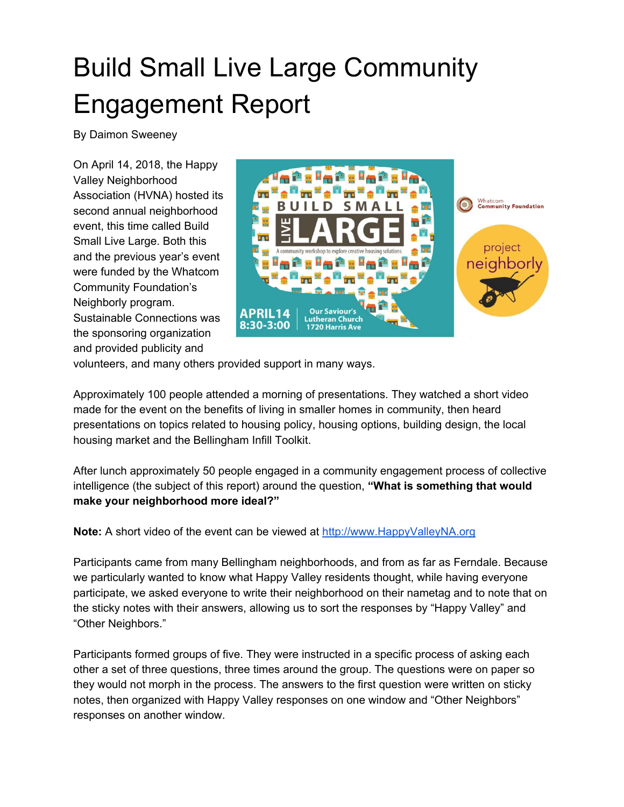# Build Small Live Large Community Engagement Report

By Daimon Sweeney

On April 14, 2018, the Happy Valley Neighborhood Association (HVNA) hosted its second annual neighborhood event, this time called Build Small Live Large. Both this and the previous year's event were funded by the Whatcom Community Foundation's Neighborly program. Sustainable Connections was the sponsoring organization and provided publicity and



volunteers, and many others provided support in many ways.

Approximately 100 people attended a morning of presentations. They watched a short video made for the event on the benefits of living in smaller homes in community, then heard presentations on topics related to housing policy, housing options, building design, the local housing market and the Bellingham Infill Toolkit.

After lunch approximately 50 people engaged in a community engagement process of collective intelligence (the subject of this report) around the question, **"What is something that would make your neighborhood more ideal?"**

**Note:** A short video of the event can be viewed at [http://www.HappyValleyNA.org](http://www.happyvalleyna.org/)

Participants came from many Bellingham neighborhoods, and from as far as Ferndale. Because we particularly wanted to know what Happy Valley residents thought, while having everyone participate, we asked everyone to write their neighborhood on their nametag and to note that on the sticky notes with their answers, allowing us to sort the responses by "Happy Valley" and "Other Neighbors."

Participants formed groups of five. They were instructed in a specific process of asking each other a set of three questions, three times around the group. The questions were on paper so they would not morph in the process. The answers to the first question were written on sticky notes, then organized with Happy Valley responses on one window and "Other Neighbors" responses on another window.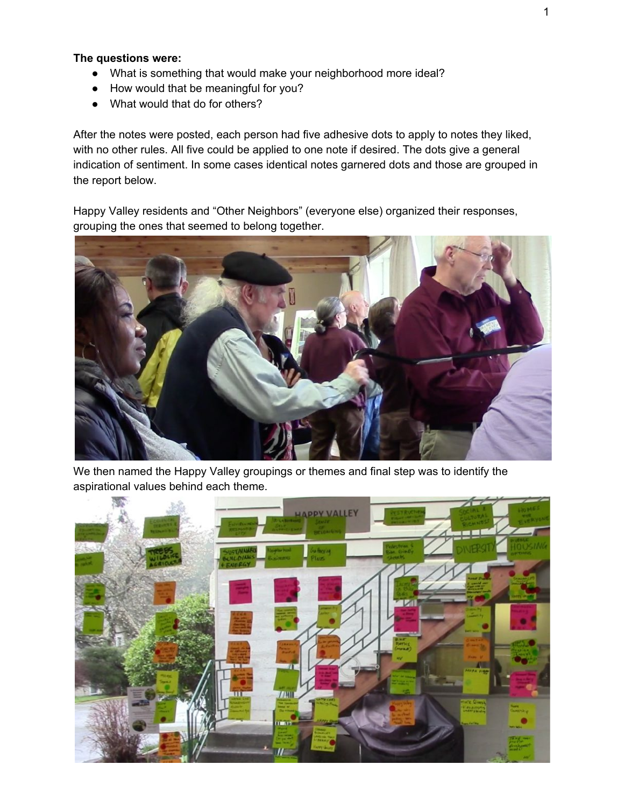## **The questions were:**

- What is something that would make your neighborhood more ideal?
- How would that be meaningful for you?
- What would that do for others?

After the notes were posted, each person had five adhesive dots to apply to notes they liked, with no other rules. All five could be applied to one note if desired. The dots give a general indication of sentiment. In some cases identical notes garnered dots and those are grouped in the report below.

Happy Valley residents and "Other Neighbors" (everyone else) organized their responses, grouping the ones that seemed to belong together.



We then named the Happy Valley groupings or themes and final step was to identify the aspirational values behind each theme.

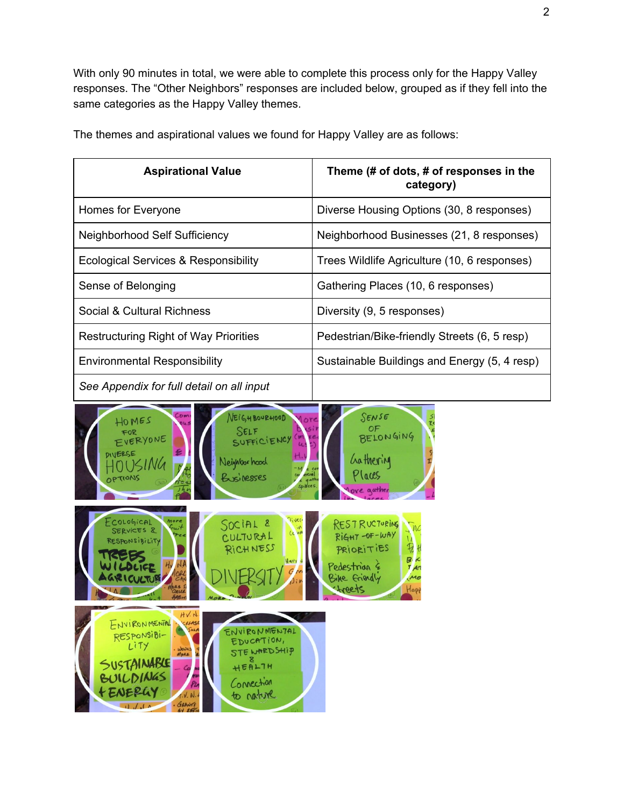With only 90 minutes in total, we were able to complete this process only for the Happy Valley responses. The "Other Neighbors" responses are included below, grouped as if they fell into the same categories as the Happy Valley themes.

| <b>Aspirational Value</b>                                                                                                                                                                                                                               | Theme (# of dots, # of responses in the<br>category)                                                                                                 |
|---------------------------------------------------------------------------------------------------------------------------------------------------------------------------------------------------------------------------------------------------------|------------------------------------------------------------------------------------------------------------------------------------------------------|
| Homes for Everyone                                                                                                                                                                                                                                      | Diverse Housing Options (30, 8 responses)                                                                                                            |
| Neighborhood Self Sufficiency                                                                                                                                                                                                                           | Neighborhood Businesses (21, 8 responses)                                                                                                            |
| Ecological Services & Responsibility                                                                                                                                                                                                                    | Trees Wildlife Agriculture (10, 6 responses)                                                                                                         |
| Sense of Belonging                                                                                                                                                                                                                                      | Gathering Places (10, 6 responses)                                                                                                                   |
| Social & Cultural Richness                                                                                                                                                                                                                              | Diversity (9, 5 responses)                                                                                                                           |
| <b>Restructuring Right of Way Priorities</b>                                                                                                                                                                                                            | Pedestrian/Bike-friendly Streets (6, 5 resp)                                                                                                         |
| <b>Environmental Responsibility</b>                                                                                                                                                                                                                     | Sustainable Buildings and Energy (5, 4 resp)                                                                                                         |
| See Appendix for full detail on all input                                                                                                                                                                                                               |                                                                                                                                                      |
| $\sim$ D m<br>NEIGHBOURHOOD<br>HOMES<br>SELF<br>FOR<br>EVERYONE<br>SUFFICIENCY<br><b>21 VIERSE</b><br>Neighborhood<br>Businesses<br>PTIONS                                                                                                              | SENSE<br>BELONGING<br>Gathering<br><sup>laces</sup><br>ove aather                                                                                    |
| OLOGICAL<br>SOCIAL <sup>2</sup><br>ICES &<br>Le WW<br>CULTURAL<br>NSIBILITY<br>RICHNESS                                                                                                                                                                 | <b>RESTRUCTURING</b><br>RIGHT-OF-WAY<br>$\mathcal{R}$<br>PRIORITIES<br>B<br>Pedestrian &<br>7/27<br>Bike Eriendly<br>M <sub>o</sub><br>reete<br>Hapi |
| HV. N<br>ENVIRONMENTAL<br>CALASE<br>SOLA<br>ENVIRONMENTAL<br>RESPONSiBI-<br>EDUCATION,<br>LITY<br>WOULD<br>STE WARD SHIP<br>SUSTAINABLE<br>HEALTH<br>BUILDINGS<br>Connection<br>t ENERGY<br>to nature<br>f.V. N.<br>GRANTS<br>GY EFFI<br>$11 \sqrt{14}$ |                                                                                                                                                      |

The themes and aspirational values we found for Happy Valley are as follows: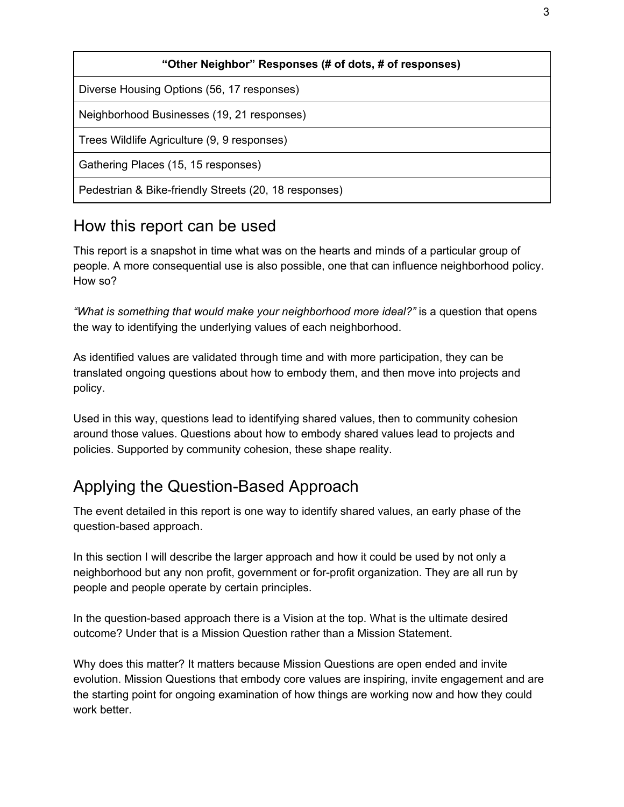| "Other Neighbor" Responses (# of dots, # of responses) |  |
|--------------------------------------------------------|--|
| Diverse Housing Options (56, 17 responses)             |  |
| Neighborhood Businesses (19, 21 responses)             |  |
| Trees Wildlife Agriculture (9, 9 responses)            |  |
| Gathering Places (15, 15 responses)                    |  |
| Pedestrian & Bike-friendly Streets (20, 18 responses)  |  |

# How this report can be used

This report is a snapshot in time what was on the hearts and minds of a particular group of people. A more consequential use is also possible, one that can influence neighborhood policy. How so?

*"What is something that would make your neighborhood more ideal?"* is a question that opens the way to identifying the underlying values of each neighborhood.

As identified values are validated through time and with more participation, they can be translated ongoing questions about how to embody them, and then move into projects and policy.

Used in this way, questions lead to identifying shared values, then to community cohesion around those values. Questions about how to embody shared values lead to projects and policies. Supported by community cohesion, these shape reality.

# Applying the Question-Based Approach

The event detailed in this report is one way to identify shared values, an early phase of the question-based approach.

In this section I will describe the larger approach and how it could be used by not only a neighborhood but any non profit, government or for-profit organization. They are all run by people and people operate by certain principles.

In the question-based approach there is a Vision at the top. What is the ultimate desired outcome? Under that is a Mission Question rather than a Mission Statement.

Why does this matter? It matters because Mission Questions are open ended and invite evolution. Mission Questions that embody core values are inspiring, invite engagement and are the starting point for ongoing examination of how things are working now and how they could work better.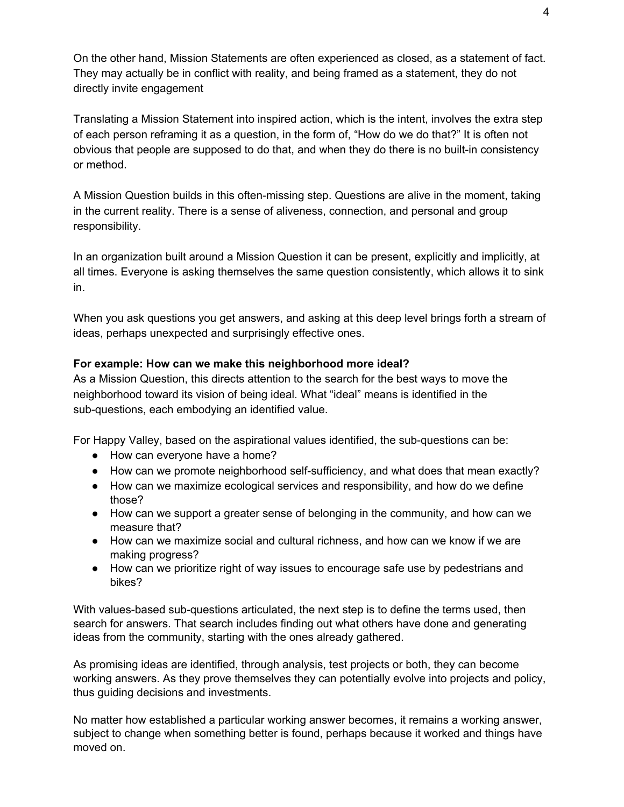On the other hand, Mission Statements are often experienced as closed, as a statement of fact. They may actually be in conflict with reality, and being framed as a statement, they do not directly invite engagement

Translating a Mission Statement into inspired action, which is the intent, involves the extra step of each person reframing it as a question, in the form of, "How do we do that?" It is often not obvious that people are supposed to do that, and when they do there is no built-in consistency or method.

A Mission Question builds in this often-missing step. Questions are alive in the moment, taking in the current reality. There is a sense of aliveness, connection, and personal and group responsibility.

In an organization built around a Mission Question it can be present, explicitly and implicitly, at all times. Everyone is asking themselves the same question consistently, which allows it to sink in.

When you ask questions you get answers, and asking at this deep level brings forth a stream of ideas, perhaps unexpected and surprisingly effective ones.

## **For example: How can we make this neighborhood more ideal?**

As a Mission Question, this directs attention to the search for the best ways to move the neighborhood toward its vision of being ideal. What "ideal" means is identified in the sub-questions, each embodying an identified value.

For Happy Valley, based on the aspirational values identified, the sub-questions can be:

- How can everyone have a home?
- How can we promote neighborhood self-sufficiency, and what does that mean exactly?
- How can we maximize ecological services and responsibility, and how do we define those?
- How can we support a greater sense of belonging in the community, and how can we measure that?
- How can we maximize social and cultural richness, and how can we know if we are making progress?
- How can we prioritize right of way issues to encourage safe use by pedestrians and bikes?

With values-based sub-questions articulated, the next step is to define the terms used, then search for answers. That search includes finding out what others have done and generating ideas from the community, starting with the ones already gathered.

As promising ideas are identified, through analysis, test projects or both, they can become working answers. As they prove themselves they can potentially evolve into projects and policy, thus guiding decisions and investments.

No matter how established a particular working answer becomes, it remains a working answer, subject to change when something better is found, perhaps because it worked and things have moved on.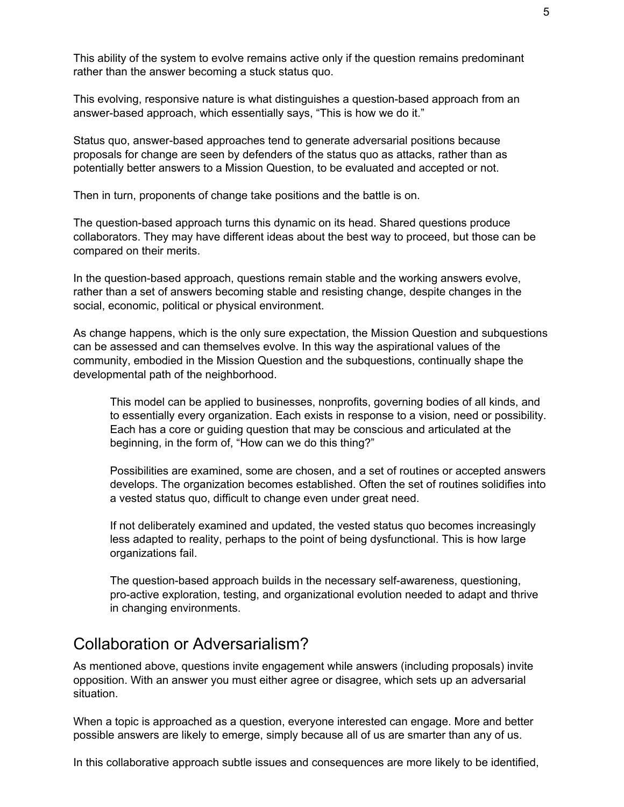This ability of the system to evolve remains active only if the question remains predominant rather than the answer becoming a stuck status quo.

This evolving, responsive nature is what distinguishes a question-based approach from an answer-based approach, which essentially says, "This is how we do it."

Status quo, answer-based approaches tend to generate adversarial positions because proposals for change are seen by defenders of the status quo as attacks, rather than as potentially better answers to a Mission Question, to be evaluated and accepted or not.

Then in turn, proponents of change take positions and the battle is on.

The question-based approach turns this dynamic on its head. Shared questions produce collaborators. They may have different ideas about the best way to proceed, but those can be compared on their merits.

In the question-based approach, questions remain stable and the working answers evolve, rather than a set of answers becoming stable and resisting change, despite changes in the social, economic, political or physical environment.

As change happens, which is the only sure expectation, the Mission Question and subquestions can be assessed and can themselves evolve. In this way the aspirational values of the community, embodied in the Mission Question and the subquestions, continually shape the developmental path of the neighborhood.

This model can be applied to businesses, nonprofits, governing bodies of all kinds, and to essentially every organization. Each exists in response to a vision, need or possibility. Each has a core or guiding question that may be conscious and articulated at the beginning, in the form of, "How can we do this thing?"

Possibilities are examined, some are chosen, and a set of routines or accepted answers develops. The organization becomes established. Often the set of routines solidifies into a vested status quo, difficult to change even under great need.

If not deliberately examined and updated, the vested status quo becomes increasingly less adapted to reality, perhaps to the point of being dysfunctional. This is how large organizations fail.

The question-based approach builds in the necessary self-awareness, questioning, pro-active exploration, testing, and organizational evolution needed to adapt and thrive in changing environments.

## Collaboration or Adversarialism?

As mentioned above, questions invite engagement while answers (including proposals) invite opposition. With an answer you must either agree or disagree, which sets up an adversarial situation.

When a topic is approached as a question, everyone interested can engage. More and better possible answers are likely to emerge, simply because all of us are smarter than any of us.

In this collaborative approach subtle issues and consequences are more likely to be identified,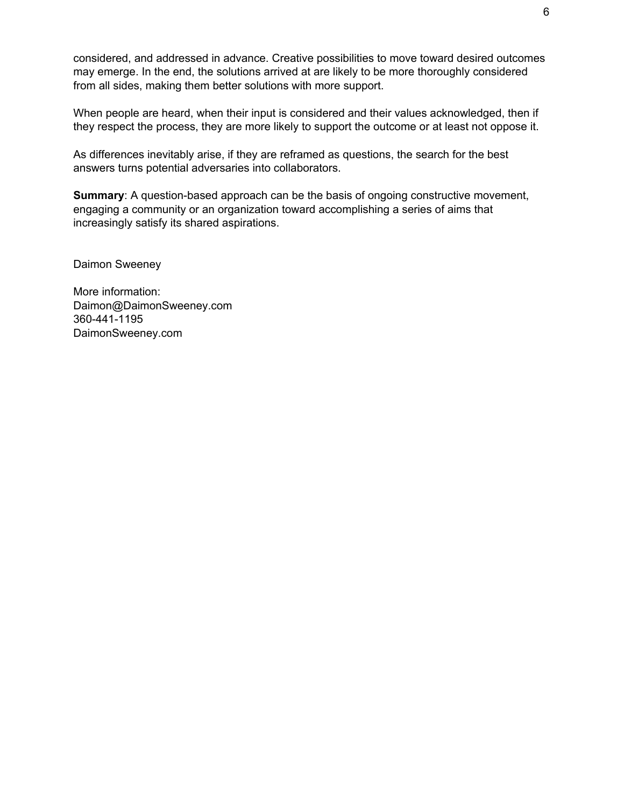considered, and addressed in advance. Creative possibilities to move toward desired outcomes may emerge. In the end, the solutions arrived at are likely to be more thoroughly considered from all sides, making them better solutions with more support.

When people are heard, when their input is considered and their values acknowledged, then if they respect the process, they are more likely to support the outcome or at least not oppose it.

As differences inevitably arise, if they are reframed as questions, the search for the best answers turns potential adversaries into collaborators.

**Summary:** A question-based approach can be the basis of ongoing constructive movement, engaging a community or an organization toward accomplishing a series of aims that increasingly satisfy its shared aspirations.

Daimon Sweeney

More information: Daimon@DaimonSweeney.com 360-441-1195 DaimonSweeney.com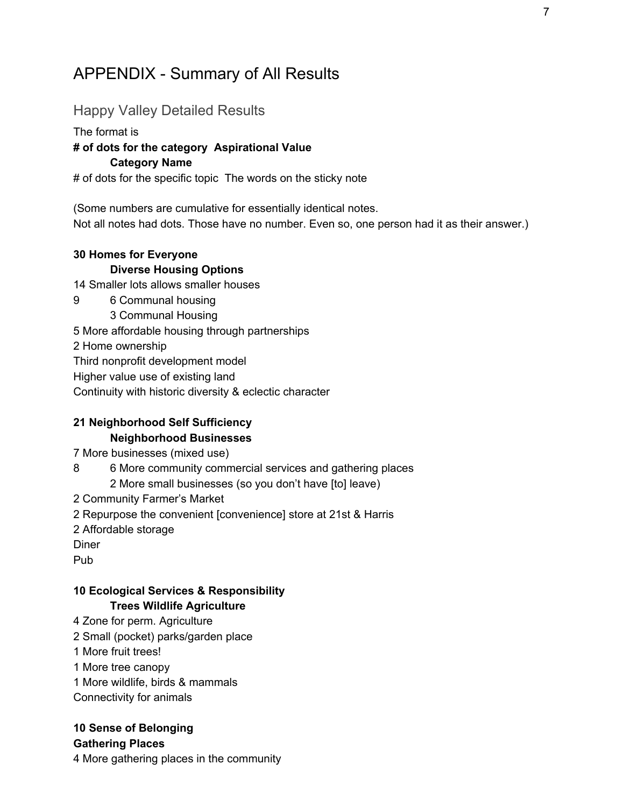## APPENDIX - Summary of All Results

## Happy Valley Detailed Results

#### The format is

### **# of dots for the category Aspirational Value**

#### **Category Name**

# of dots for the specific topic The words on the sticky note

(Some numbers are cumulative for essentially identical notes. Not all notes had dots. Those have no number. Even so, one person had it as their answer.)

## **30 Homes for Everyone Diverse Housing Options**

14 Smaller lots allows smaller houses

- 9 6 Communal housing
	- 3 Communal Housing

5 More affordable housing through partnerships

2 Home ownership

Third nonprofit development model

Higher value use of existing land

Continuity with historic diversity & eclectic character

## **21 Neighborhood Self Sufficiency Neighborhood Businesses**

7 More businesses (mixed use)

- 8 6 More community commercial services and gathering places 2 More small businesses (so you don't have [to] leave)
- 2 Community Farmer's Market
- 2 Repurpose the convenient [convenience] store at 21st & Harris

2 Affordable storage

Diner

Pub

## **10 Ecological Services & Responsibility Trees Wildlife Agriculture**

- 4 Zone for perm. Agriculture
- 2 Small (pocket) parks/garden place
- 1 More fruit trees!
- 1 More tree canopy
- 1 More wildlife, birds & mammals
- Connectivity for animals

## **10 Sense of Belonging**

**Gathering Places**

4 More gathering places in the community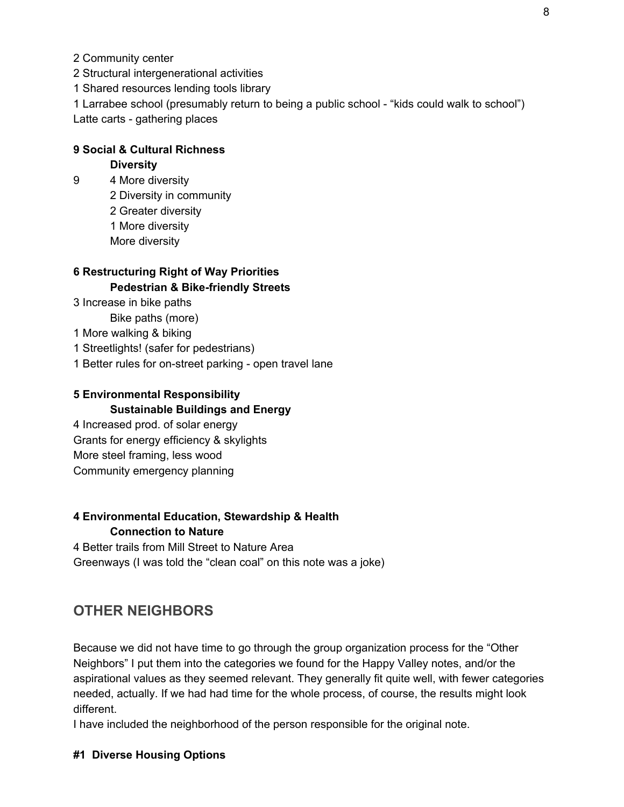2 Community center

2 Structural intergenerational activities

1 Shared resources lending tools library

1 Larrabee school (presumably return to being a public school - "kids could walk to school") Latte carts - gathering places

## **9 Social & Cultural Richness**

#### **Diversity**

 4 More diversity Diversity in community Greater diversity More diversity More diversity

## **6 Restructuring Right of Way Priorities Pedestrian & Bike-friendly Streets**

- 3 Increase in bike paths
	- Bike paths (more)
- 1 More walking & biking
- 1 Streetlights! (safer for pedestrians)
- 1 Better rules for on-street parking open travel lane

## **5 Environmental Responsibility Sustainable Buildings and Energy**

4 Increased prod. of solar energy Grants for energy efficiency & skylights More steel framing, less wood Community emergency planning

#### **4 Environmental Education, Stewardship & Health Connection to Nature**

4 Better trails from Mill Street to Nature Area Greenways (I was told the "clean coal" on this note was a joke)

## **OTHER NEIGHBORS**

Because we did not have time to go through the group organization process for the "Other Neighbors" I put them into the categories we found for the Happy Valley notes, and/or the aspirational values as they seemed relevant. They generally fit quite well, with fewer categories needed, actually. If we had had time for the whole process, of course, the results might look different.

I have included the neighborhood of the person responsible for the original note.

#### **#1 Diverse Housing Options**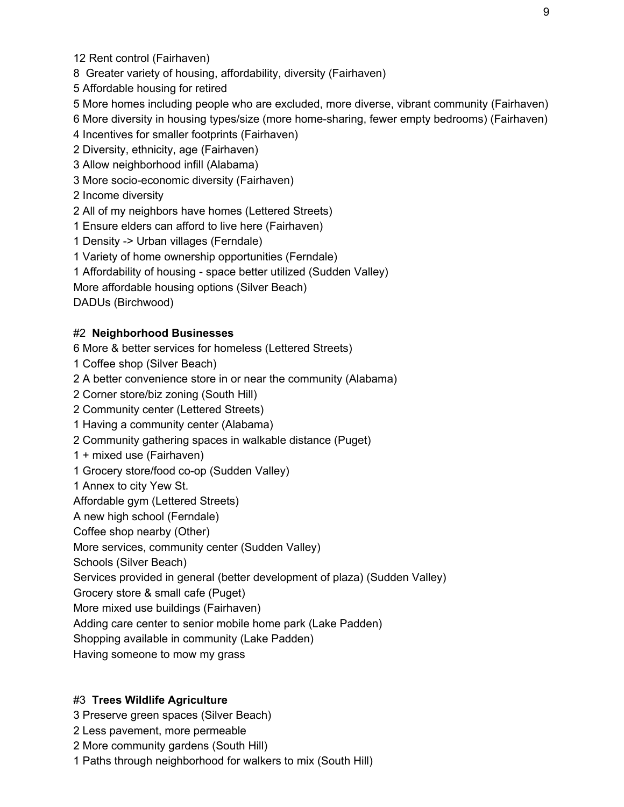Rent control (Fairhaven)

Greater variety of housing, affordability, diversity (Fairhaven)

Affordable housing for retired

More homes including people who are excluded, more diverse, vibrant community (Fairhaven)

More diversity in housing types/size (more home-sharing, fewer empty bedrooms) (Fairhaven)

Incentives for smaller footprints (Fairhaven)

Diversity, ethnicity, age (Fairhaven)

Allow neighborhood infill (Alabama)

More socio-economic diversity (Fairhaven)

Income diversity

All of my neighbors have homes (Lettered Streets)

Ensure elders can afford to live here (Fairhaven)

Density -> Urban villages (Ferndale)

Variety of home ownership opportunities (Ferndale)

Affordability of housing - space better utilized (Sudden Valley)

More affordable housing options (Silver Beach)

DADUs (Birchwood)

#### #2 **Neighborhood Businesses**

More & better services for homeless (Lettered Streets)

Coffee shop (Silver Beach)

A better convenience store in or near the community (Alabama)

Corner store/biz zoning (South Hill)

Community center (Lettered Streets)

Having a community center (Alabama)

Community gathering spaces in walkable distance (Puget)

+ mixed use (Fairhaven)

Grocery store/food co-op (Sudden Valley)

Annex to city Yew St.

Affordable gym (Lettered Streets)

A new high school (Ferndale)

Coffee shop nearby (Other)

More services, community center (Sudden Valley)

Schools (Silver Beach)

Services provided in general (better development of plaza) (Sudden Valley)

Grocery store & small cafe (Puget)

More mixed use buildings (Fairhaven)

Adding care center to senior mobile home park (Lake Padden)

Shopping available in community (Lake Padden)

Having someone to mow my grass

#### #3 **Trees Wildlife Agriculture**

- Preserve green spaces (Silver Beach)
- Less pavement, more permeable
- More community gardens (South Hill)

Paths through neighborhood for walkers to mix (South Hill)